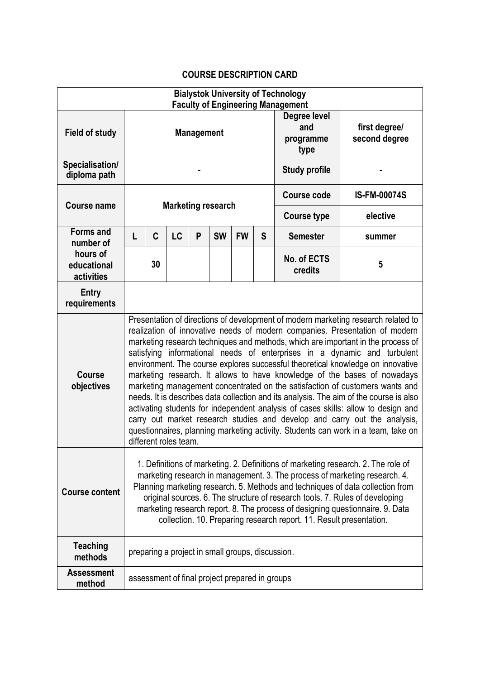## **COURSE DESCRIPTION CARD**

| <b>Bialystok University of Technology</b><br><b>Faculty of Engineering Management</b> |                                                                                                                                                                                                                                                                                                                                                                                                                                                                                                                                                                                                                                                                                                                                                                                                                                                                                                                                                           |    |    |   |           |           |   |                                          |                                |
|---------------------------------------------------------------------------------------|-----------------------------------------------------------------------------------------------------------------------------------------------------------------------------------------------------------------------------------------------------------------------------------------------------------------------------------------------------------------------------------------------------------------------------------------------------------------------------------------------------------------------------------------------------------------------------------------------------------------------------------------------------------------------------------------------------------------------------------------------------------------------------------------------------------------------------------------------------------------------------------------------------------------------------------------------------------|----|----|---|-----------|-----------|---|------------------------------------------|--------------------------------|
| <b>Field of study</b>                                                                 | <b>Management</b>                                                                                                                                                                                                                                                                                                                                                                                                                                                                                                                                                                                                                                                                                                                                                                                                                                                                                                                                         |    |    |   |           |           |   | Degree level<br>and<br>programme<br>type | first degree/<br>second degree |
| Specialisation/<br>diploma path                                                       |                                                                                                                                                                                                                                                                                                                                                                                                                                                                                                                                                                                                                                                                                                                                                                                                                                                                                                                                                           |    |    |   |           |           |   | <b>Study profile</b>                     |                                |
| <b>Course name</b>                                                                    | <b>Marketing research</b>                                                                                                                                                                                                                                                                                                                                                                                                                                                                                                                                                                                                                                                                                                                                                                                                                                                                                                                                 |    |    |   |           |           |   | Course code                              | <b>IS-FM-00074S</b>            |
|                                                                                       |                                                                                                                                                                                                                                                                                                                                                                                                                                                                                                                                                                                                                                                                                                                                                                                                                                                                                                                                                           |    |    |   |           |           |   | <b>Course type</b>                       | elective                       |
| <b>Forms and</b><br>number of<br>hours of<br>educational<br>activities                | L                                                                                                                                                                                                                                                                                                                                                                                                                                                                                                                                                                                                                                                                                                                                                                                                                                                                                                                                                         | C  | LC | P | <b>SW</b> | <b>FW</b> | S | <b>Semester</b>                          | summer                         |
|                                                                                       |                                                                                                                                                                                                                                                                                                                                                                                                                                                                                                                                                                                                                                                                                                                                                                                                                                                                                                                                                           | 30 |    |   |           |           |   | No. of ECTS<br>credits                   | 5                              |
| <b>Entry</b><br>requirements                                                          |                                                                                                                                                                                                                                                                                                                                                                                                                                                                                                                                                                                                                                                                                                                                                                                                                                                                                                                                                           |    |    |   |           |           |   |                                          |                                |
| <b>Course</b><br>objectives                                                           | Presentation of directions of development of modern marketing research related to<br>realization of innovative needs of modern companies. Presentation of modern<br>marketing research techniques and methods, which are important in the process of<br>satisfying informational needs of enterprises in a dynamic and turbulent<br>environment. The course explores successful theoretical knowledge on innovative<br>marketing research. It allows to have knowledge of the bases of nowadays<br>marketing management concentrated on the satisfaction of customers wants and<br>needs. It is describes data collection and its analysis. The aim of the course is also<br>activating students for independent analysis of cases skills: allow to design and<br>carry out market research studies and develop and carry out the analysis,<br>questionnaires, planning marketing activity. Students can work in a team, take on<br>different roles team. |    |    |   |           |           |   |                                          |                                |
| <b>Course content</b>                                                                 | 1. Definitions of marketing. 2. Definitions of marketing research. 2. The role of<br>marketing research in management. 3. The process of marketing research. 4.<br>Planning marketing research. 5. Methods and techniques of data collection from<br>original sources. 6. The structure of research tools. 7. Rules of developing<br>marketing research report. 8. The process of designing questionnaire. 9. Data<br>collection. 10. Preparing research report. 11. Result presentation.                                                                                                                                                                                                                                                                                                                                                                                                                                                                 |    |    |   |           |           |   |                                          |                                |
| <b>Teaching</b><br>methods                                                            | preparing a project in small groups, discussion.                                                                                                                                                                                                                                                                                                                                                                                                                                                                                                                                                                                                                                                                                                                                                                                                                                                                                                          |    |    |   |           |           |   |                                          |                                |
| <b>Assessment</b><br>method                                                           | assessment of final project prepared in groups                                                                                                                                                                                                                                                                                                                                                                                                                                                                                                                                                                                                                                                                                                                                                                                                                                                                                                            |    |    |   |           |           |   |                                          |                                |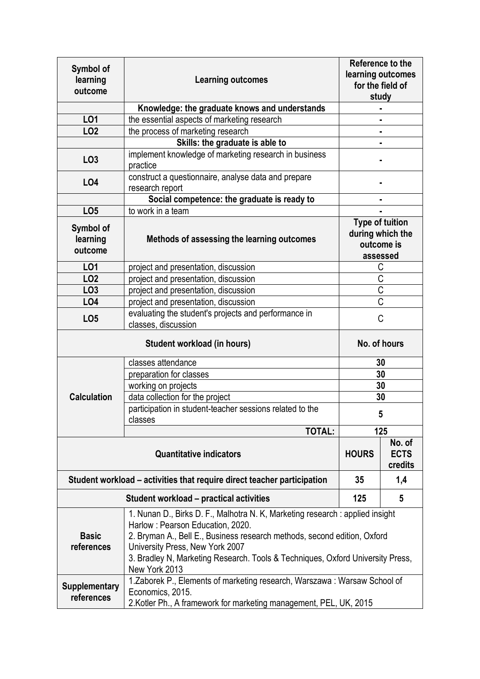| Symbol of<br>learning<br>outcome                                        | <b>Learning outcomes</b>                                                                                                                                                                                                                                                                                                            | Reference to the<br>learning outcomes<br>for the field of<br>study   |   |  |  |  |
|-------------------------------------------------------------------------|-------------------------------------------------------------------------------------------------------------------------------------------------------------------------------------------------------------------------------------------------------------------------------------------------------------------------------------|----------------------------------------------------------------------|---|--|--|--|
|                                                                         | Knowledge: the graduate knows and understands                                                                                                                                                                                                                                                                                       |                                                                      |   |  |  |  |
| LO <sub>1</sub>                                                         | the essential aspects of marketing research                                                                                                                                                                                                                                                                                         |                                                                      |   |  |  |  |
| <b>LO2</b>                                                              | the process of marketing research                                                                                                                                                                                                                                                                                                   |                                                                      |   |  |  |  |
|                                                                         | Skills: the graduate is able to                                                                                                                                                                                                                                                                                                     |                                                                      |   |  |  |  |
| LO <sub>3</sub>                                                         | implement knowledge of marketing research in business<br>practice                                                                                                                                                                                                                                                                   |                                                                      |   |  |  |  |
| L04                                                                     | construct a questionnaire, analyse data and prepare<br>research report                                                                                                                                                                                                                                                              |                                                                      |   |  |  |  |
|                                                                         | Social competence: the graduate is ready to                                                                                                                                                                                                                                                                                         |                                                                      |   |  |  |  |
| LO <sub>5</sub>                                                         | to work in a team                                                                                                                                                                                                                                                                                                                   |                                                                      |   |  |  |  |
| Symbol of<br>learning<br>outcome                                        | Methods of assessing the learning outcomes                                                                                                                                                                                                                                                                                          | <b>Type of tuition</b><br>during which the<br>outcome is<br>assessed |   |  |  |  |
| LO1                                                                     | project and presentation, discussion                                                                                                                                                                                                                                                                                                | С                                                                    |   |  |  |  |
| <b>LO2</b>                                                              | project and presentation, discussion                                                                                                                                                                                                                                                                                                | $\overline{C}$                                                       |   |  |  |  |
| LO <sub>3</sub>                                                         | project and presentation, discussion                                                                                                                                                                                                                                                                                                | $\overline{C}$                                                       |   |  |  |  |
| LO <sub>4</sub>                                                         | project and presentation, discussion                                                                                                                                                                                                                                                                                                | $\overline{\mathsf{C}}$                                              |   |  |  |  |
| LO <sub>5</sub>                                                         | evaluating the student's projects and performance in<br>classes, discussion                                                                                                                                                                                                                                                         | C                                                                    |   |  |  |  |
|                                                                         | No. of hours                                                                                                                                                                                                                                                                                                                        |                                                                      |   |  |  |  |
|                                                                         | classes attendance                                                                                                                                                                                                                                                                                                                  | 30                                                                   |   |  |  |  |
|                                                                         | preparation for classes                                                                                                                                                                                                                                                                                                             | 30                                                                   |   |  |  |  |
|                                                                         | working on projects                                                                                                                                                                                                                                                                                                                 | 30                                                                   |   |  |  |  |
| <b>Calculation</b>                                                      | data collection for the project                                                                                                                                                                                                                                                                                                     | 30                                                                   |   |  |  |  |
|                                                                         | participation in student-teacher sessions related to the<br>classes                                                                                                                                                                                                                                                                 | 5                                                                    |   |  |  |  |
|                                                                         | <b>TOTAL:</b>                                                                                                                                                                                                                                                                                                                       | 125                                                                  |   |  |  |  |
|                                                                         | <b>HOURS</b>                                                                                                                                                                                                                                                                                                                        | No. of<br><b>ECTS</b><br>credits                                     |   |  |  |  |
| Student workload – activities that require direct teacher participation | 35                                                                                                                                                                                                                                                                                                                                  | 1,4                                                                  |   |  |  |  |
|                                                                         | Student workload – practical activities                                                                                                                                                                                                                                                                                             | 125                                                                  | 5 |  |  |  |
| <b>Basic</b><br>references                                              | 1. Nunan D., Birks D. F., Malhotra N. K, Marketing research : applied insight<br>Harlow: Pearson Education, 2020.<br>2. Bryman A., Bell E., Business research methods, second edition, Oxford<br>University Press, New York 2007<br>3. Bradley N, Marketing Research. Tools & Techniques, Oxford University Press,<br>New York 2013 |                                                                      |   |  |  |  |
| <b>Supplementary</b><br>references                                      | 1. Zaborek P., Elements of marketing research, Warszawa: Warsaw School of<br>Economics, 2015.<br>2. Kotler Ph., A framework for marketing management, PEL, UK, 2015                                                                                                                                                                 |                                                                      |   |  |  |  |